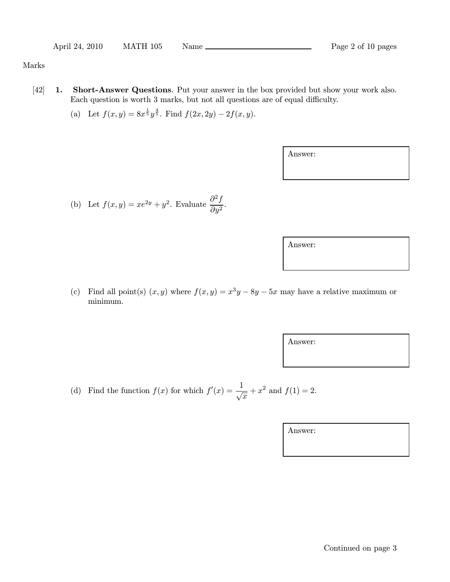## Marks

- [42] 1. Short-Answer Questions. Put your answer in the box provided but show your work also. Each question is worth 3 marks, but not all questions are of equal difficulty.
	- (a) Let  $f(x, y) = 8x^{\frac{1}{5}}y^{\frac{4}{5}}$ . Find  $f(2x, 2y) 2f(x, y)$ .

Answer:

(b) Let 
$$
f(x, y) = xe^{2y} + y^2
$$
. Evaluate  $\frac{\partial^2 f}{\partial y^2}$ .

Answer:

(c) Find all point(s)  $(x, y)$  where  $f(x, y) = x^3y - 8y - 5x$  may have a relative maximum or minimum.

Answer:

(d) Find the function  $f(x)$  for which  $f'(x) = \frac{1}{\sqrt{x}} + x^2$  and  $f(1) = 2$ .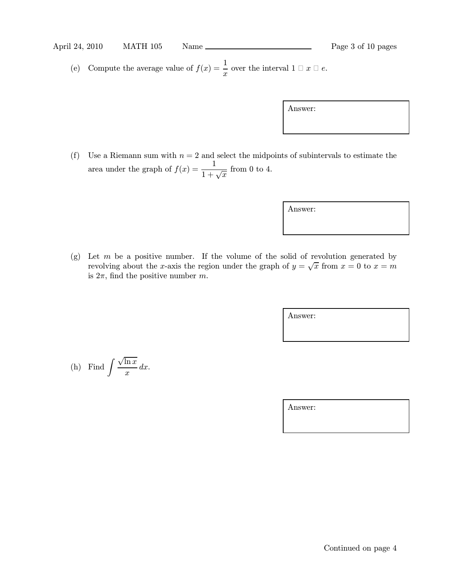(e) Compute the average value of  $f(x) = \frac{1}{x}$  over the interval  $1 \square x \square e$ .

Answer:

(f) Use a Riemann sum with  $n = 2$  and select the midpoints of subintervals to estimate the area under the graph of  $f(x) = \frac{1}{1 + \sqrt{x}}$  from 0 to 4.

Answer:

(g) Let  $m$  be a positive number. If the volume of the solid of revolution generated by revolving about the x-axis the region under the graph of  $y = \sqrt{x}$  from  $x = 0$  to  $x = m$ is  $2\pi$ , find the positive number m.

Answer:

(h) Find 
$$
\int \frac{\sqrt{\ln x}}{x} dx
$$
.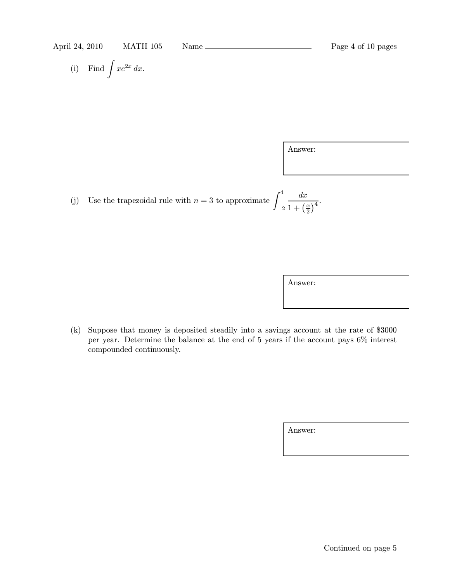(i) Find 
$$
\int xe^{2x} dx
$$
.

Answer:

(j) Use the trapezoidal rule with  $n = 3$  to approximate  $\int_1^4$ −2  $dx$  $1 + \left(\frac{x}{2}\right)$  $\frac{x}{2}$ <sup>4</sup>.

Answer:

(k) Suppose that money is deposited steadily into a savings account at the rate of \$3000 per year. Determine the balance at the end of 5 years if the account pays 6% interest compounded continuously.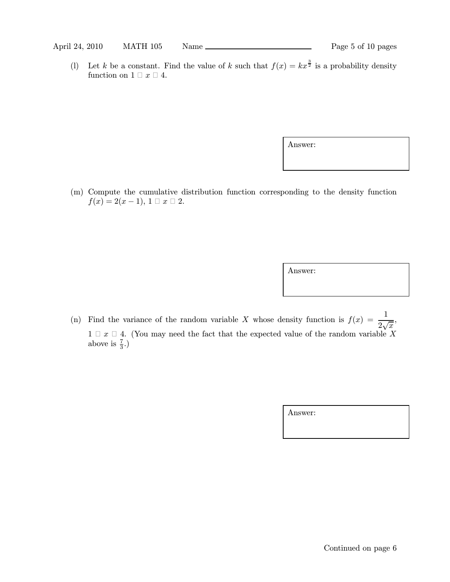(1) Let k be a constant. Find the value of k such that  $f(x) = kx^{\frac{3}{2}}$  is a probability density function on  $1 \square x \square 4$ .

Answer:

(m) Compute the cumulative distribution function corresponding to the density function  $f(x) = 2(x - 1), 1 \square x \square 2.$ 

Answer:

(n) Find the variance of the random variable X whose density function is  $f(x) = \frac{1}{2\sqrt{x}}$ ,  $1 \n\Box x \n\Box 4$ . (You may need the fact that the expected value of the random variable X above is  $\frac{7}{3}$ .)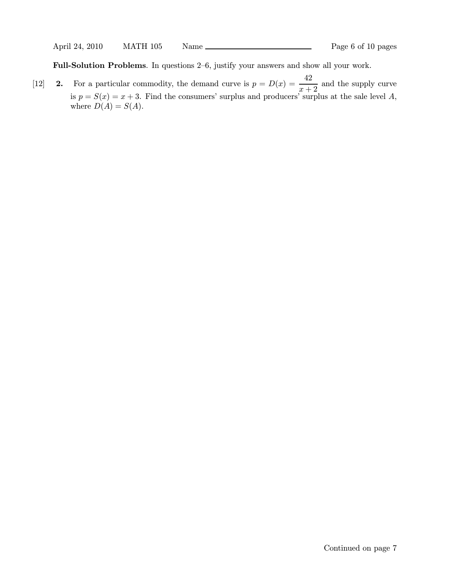Full-Solution Problems. In questions 2—6, justify your answers and show all your work.

[12] **2.** For a particular commodity, the demand curve is  $p = D(x) = \frac{42}{x+2}$  and the supply curve is  $p = S(x) = x + 3$ . Find the consumers' surplus and producers' surplus at the sale level A, where  $D(A) = S(A)$ .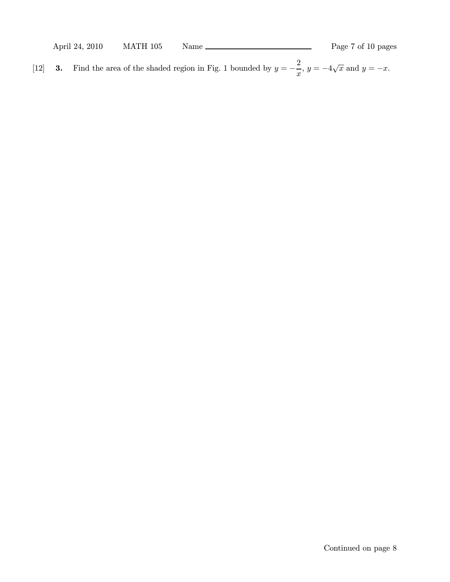| April 24, 2010 | MATH 105 | Name | Page 7 of 10 pages |
|----------------|----------|------|--------------------|
|                |          |      |                    |

[12] **3.** Find the area of the shaded region in Fig. 1 bounded by  $y = -\frac{2}{x}$  $\frac{z}{x}$ ,  $y = -4\sqrt{x}$  and  $y = -x$ .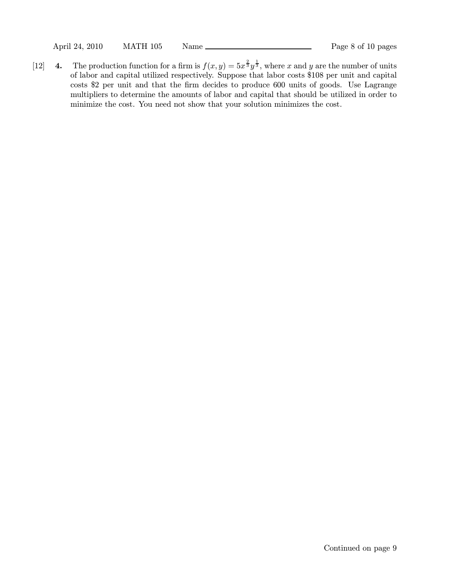[12] 4. The production function for a firm is  $f(x, y) = 5x^{\frac{2}{3}}y^{\frac{1}{3}}$ , where x and y are the number of units of labor and capital utilized respectively. Suppose that labor costs \$108 per unit and capital costs \$2 per unit and that the firm decides to produce 600 units of goods. Use Lagrange multipliers to determine the amounts of labor and capital that should be utilized in order to minimize the cost. You need not show that your solution minimizes the cost.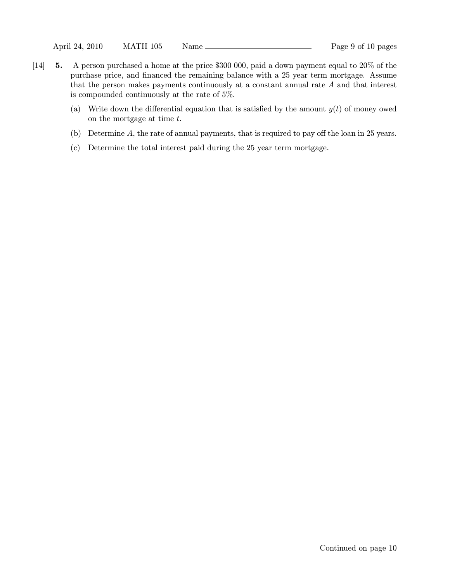- [14] 5. A person purchased a home at the price \$300 000, paid a down payment equal to 20% of the purchase price, and financed the remaining balance with a 25 year term mortgage. Assume that the person makes payments continuously at a constant annual rate A and that interest is compounded continuously at the rate of 5%.
	- (a) Write down the differential equation that is satisfied by the amount  $y(t)$  of money owed on the mortgage at time t.
	- (b) Determine A, the rate of annual payments, that is required to pay off the loan in 25 years.
	- (c) Determine the total interest paid during the 25 year term mortgage.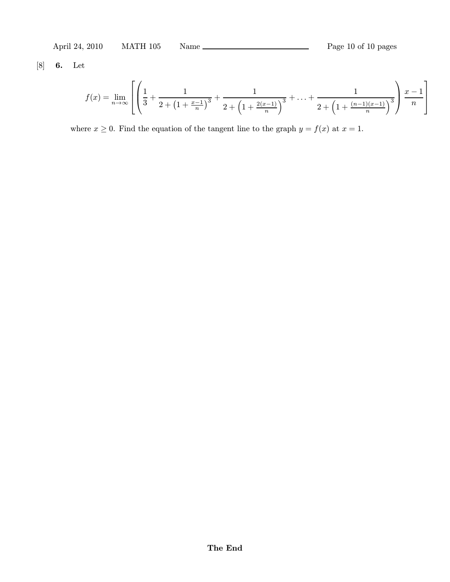[8] 6. Let

$$
f(x) = \lim_{n \to \infty} \left[ \left( \frac{1}{3} + \frac{1}{2 + \left(1 + \frac{x-1}{n}\right)^3} + \frac{1}{2 + \left(1 + \frac{2(x-1)}{n}\right)^3} + \ldots + \frac{1}{2 + \left(1 + \frac{(n-1)(x-1)}{n}\right)^3} \right) \frac{x-1}{n} \right]
$$

where  $x \ge 0$ . Find the equation of the tangent line to the graph  $y = f(x)$  at  $x = 1$ .